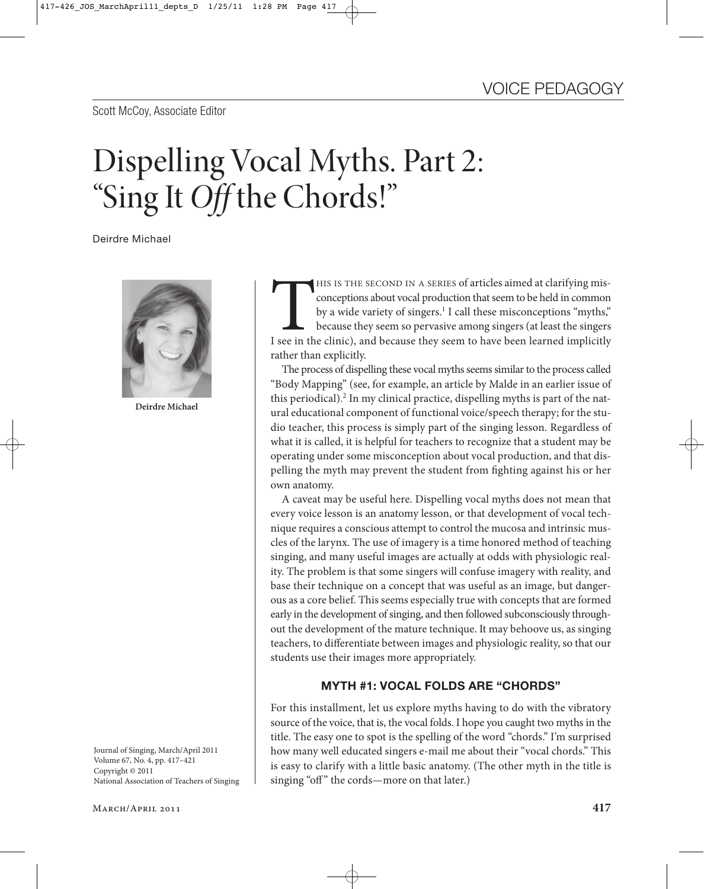Scott McCoy, Associate Editor

# Dispelling Vocal Myths. Part 2: "Sing It *Off* the Chords!"

Deirdre Michael



**Deirdre Michael**

Journal of Singing, March/April 2011 Copyright © 2011 Corpuse Contractor Contractor<br>National Associat National Association of Teachers of Singing

HIS IS THE SECOND IN A SERIES of articles aimed at clarifying misconceptions about vocal production that seem to be held in common<br>by a wide variety of singers.<sup>1</sup> I call these misconceptions "myths,"<br>because they seem so conceptions about vocal production that seem to be held in common by a wide variety of singers.<sup>1</sup> I call these misconceptions "myths," because they seem so pervasive among singers (at least the singers I see in the clinic), and because they seem to have been learned implicitly rather than explicitly.

The process of dispelling these vocal myths seems similar to the process called "Body Mapping" (see, for example, an article by Malde in an earlier issue of this periodical).2 In my clinical practice, dispelling myths is part of the natural educational component of functional voice/speech therapy; for the studio teacher, this process is simply part of the singing lesson. Regardless of what it is called, it is helpful for teachers to recognize that a student may be operating under some misconception about vocal production, and that dispelling the myth may prevent the student from fighting against his or her own anatomy.

A caveat may be useful here. Dispelling vocal myths does not mean that every voice lesson is an anatomy lesson, or that development of vocal technique requires a conscious attempt to control the mucosa and intrinsic muscles of the larynx. The use of imagery is a time honored method of teaching singing, and many useful images are actually at odds with physiologic reality. The problem is that some singers will confuse imagery with reality, and base their technique on a concept that was useful as an image, but dangerous as a core belief. This seems especially true with concepts that are formed early in the development of singing, and then followed subconsciously throughout the development of the mature technique. It may behoove us, as singing teachers, to differentiate between images and physiologic reality, so that our students use their images more appropriately.

# **MYTH #1: VOCAL FOLDS ARE "CHORDS"**

For this installment, let us explore myths having to do with the vibratory source of the voice, that is, the vocal folds. I hope you caught two myths in the title. The easy one to spot is the spelling of the word "chords." I'm surprised how many well educated singers e-mail me about their "vocal chords." This is easy to clarify with a little basic anatomy. (The other myth in the title is singing "off" the cords—more on that later.)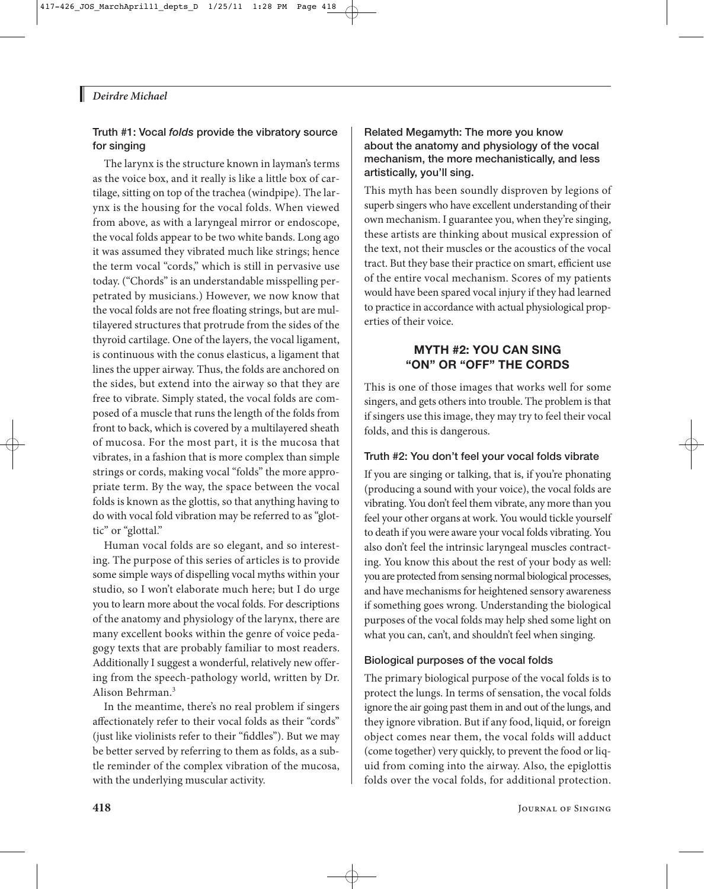# *Deirdre Michael*

# **Truth #1: Vocal** *folds* **provide the vibratory source for singing**

The larynx is the structure known in layman's terms as the voice box, and it really is like a little box of cartilage, sitting on top of the trachea (windpipe). The larynx is the housing for the vocal folds. When viewed from above, as with a laryngeal mirror or endoscope, the vocal folds appear to be two white bands. Long ago it was assumed they vibrated much like strings; hence the term vocal "cords," which is still in pervasive use today. ("Chords" is an understandable misspelling perpetrated by musicians.) However, we now know that the vocal folds are not free floating strings, but are multilayered structures that protrude from the sides of the thyroid cartilage. One of the layers, the vocal ligament, is continuous with the conus elasticus, a ligament that lines the upper airway. Thus, the folds are anchored on the sides, but extend into the airway so that they are free to vibrate. Simply stated, the vocal folds are composed of a muscle that runs the length of the folds from front to back, which is covered by a multilayered sheath of mucosa. For the most part, it is the mucosa that vibrates, in a fashion that is more complex than simple strings or cords, making vocal "folds" the more appropriate term. By the way, the space between the vocal folds is known as the glottis, so that anything having to do with vocal fold vibration may be referred to as "glottic" or "glottal."

Human vocal folds are so elegant, and so interesting. The purpose of this series of articles is to provide some simple ways of dispelling vocal myths within your studio, so I won't elaborate much here; but I do urge you to learn more about the vocal folds. For descriptions of the anatomy and physiology of the larynx, there are many excellent books within the genre of voice pedagogy texts that are probably familiar to most readers. Additionally I suggest a wonderful, relatively new offering from the speech-pathology world, written by Dr. Alison Behrman.3

In the meantime, there's no real problem if singers affectionately refer to their vocal folds as their "cords" (just like violinists refer to their "fiddles"). But we may be better served by referring to them as folds, as a subtle reminder of the complex vibration of the mucosa, with the underlying muscular activity.

### **Related Megamyth: The more you know about the anatomy and physiology of the vocal mechanism, the more mechanistically, and less artistically, you'll sing.**

This myth has been soundly disproven by legions of superb singers who have excellent understanding of their own mechanism. I guarantee you, when they're singing, these artists are thinking about musical expression of the text, not their muscles or the acoustics of the vocal tract. But they base their practice on smart, efficient use of the entire vocal mechanism. Scores of my patients would have been spared vocal injury if they had learned to practice in accordance with actual physiological properties of their voice.

# **MYTH #2: YOU CAN SING "ON" OR "OFF" THE CORDS**

This is one of those images that works well for some singers, and gets others into trouble. The problem is that if singers use this image, they may try to feel their vocal folds, and this is dangerous.

# **Truth #2: You don't feel your vocal folds vibrate**

If you are singing or talking, that is, if you're phonating (producing a sound with your voice), the vocal folds are vibrating. You don't feel them vibrate, any more than you feel your other organs at work. You would tickle yourself to death if you were aware your vocal folds vibrating. You also don't feel the intrinsic laryngeal muscles contracting. You know this about the rest of your body as well: you are protected from sensing normal biological processes, and have mechanisms for heightened sensory awareness if something goes wrong. Understanding the biological purposes of the vocal folds may help shed some light on what you can, can't, and shouldn't feel when singing.

# **Biological purposes of the vocal folds**

The primary biological purpose of the vocal folds is to protect the lungs. In terms of sensation, the vocal folds ignore the air going past them in and out of the lungs, and they ignore vibration. But if any food, liquid, or foreign object comes near them, the vocal folds will adduct (come together) very quickly, to prevent the food or liquid from coming into the airway. Also, the epiglottis folds over the vocal folds, for additional protection.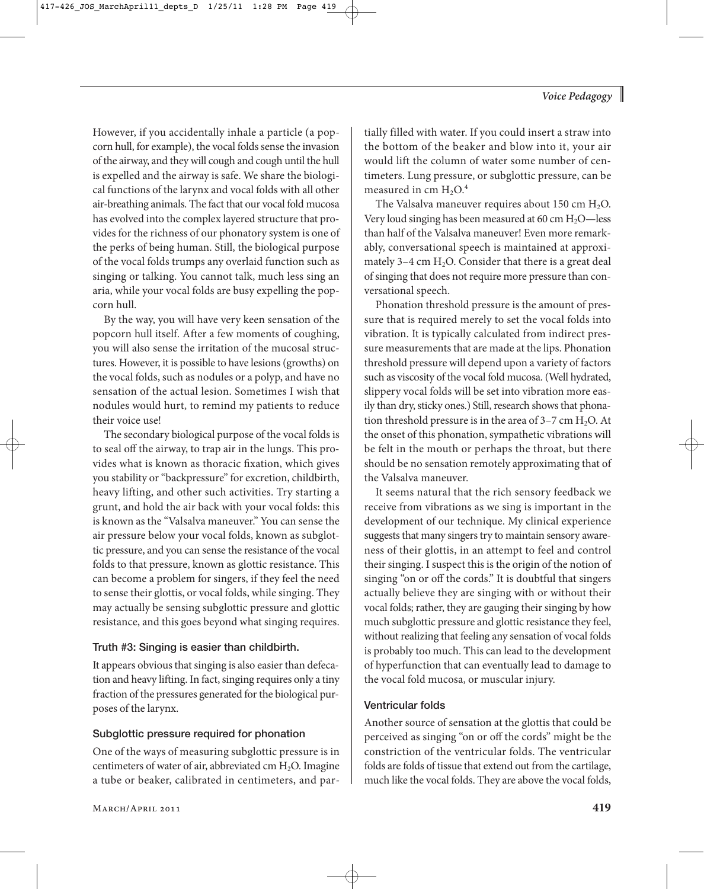However, if you accidentally inhale a particle (a popcorn hull, for example), the vocal folds sense the invasion of the airway, and they will cough and cough until the hull is expelled and the airway is safe. We share the biological functions of the larynx and vocal folds with all other air-breathing animals. The fact that our vocal fold mucosa has evolved into the complex layered structure that provides for the richness of our phonatory system is one of the perks of being human. Still, the biological purpose of the vocal folds trumps any overlaid function such as singing or talking. You cannot talk, much less sing an aria, while your vocal folds are busy expelling the popcorn hull.

By the way, you will have very keen sensation of the popcorn hull itself. After a few moments of coughing, you will also sense the irritation of the mucosal structures. However, it is possible to have lesions (growths) on the vocal folds, such as nodules or a polyp, and have no sensation of the actual lesion. Sometimes I wish that nodules would hurt, to remind my patients to reduce their voice use!

The secondary biological purpose of the vocal folds is to seal off the airway, to trap air in the lungs. This provides what is known as thoracic fixation, which gives you stability or "backpressure" for excretion, childbirth, heavy lifting, and other such activities. Try starting a grunt, and hold the air back with your vocal folds: this is known as the "Valsalva maneuver." You can sense the air pressure below your vocal folds, known as subglottic pressure, and you can sense the resistance of the vocal folds to that pressure, known as glottic resistance. This can become a problem for singers, if they feel the need to sense their glottis, or vocal folds, while singing. They may actually be sensing subglottic pressure and glottic resistance, and this goes beyond what singing requires.

#### **Truth #3: Singing is easier than childbirth.**

It appears obvious that singing is also easier than defecation and heavy lifting. In fact, singing requires only a tiny fraction of the pressures generated for the biological purposes of the larynx.

# **Subglottic pressure required for phonation**

One of the ways of measuring subglottic pressure is in centimeters of water of air, abbreviated cm H<sub>2</sub>O. Imagine a tube or beaker, calibrated in centimeters, and partially filled with water. If you could insert a straw into the bottom of the beaker and blow into it, your air would lift the column of water some number of centimeters. Lung pressure, or subglottic pressure, can be measured in cm  $H_2O<sup>4</sup>$ 

The Valsalva maneuver requires about 150 cm  $H_2O$ . Very loud singing has been measured at 60 cm  $H_2O$ —less than half of the Valsalva maneuver! Even more remarkably, conversational speech is maintained at approximately 3-4 cm  $H<sub>2</sub>O$ . Consider that there is a great deal of singing that does not require more pressure than conversational speech.

Phonation threshold pressure is the amount of pressure that is required merely to set the vocal folds into vibration. It is typically calculated from indirect pressure measurements that are made at the lips. Phonation threshold pressure will depend upon a variety of factors such as viscosity of the vocal fold mucosa. (Well hydrated, slippery vocal folds will be set into vibration more easily than dry, sticky ones.) Still, research shows that phonation threshold pressure is in the area of  $3-7$  cm  $H_2O$ . At the onset of this phonation, sympathetic vibrations will be felt in the mouth or perhaps the throat, but there should be no sensation remotely approximating that of the Valsalva maneuver.

It seems natural that the rich sensory feedback we receive from vibrations as we sing is important in the development of our technique. My clinical experience suggests that many singers try to maintain sensory awareness of their glottis, in an attempt to feel and control their singing. I suspect this is the origin of the notion of singing "on or off the cords." It is doubtful that singers actually believe they are singing with or without their vocal folds; rather, they are gauging their singing by how much subglottic pressure and glottic resistance they feel, without realizing that feeling any sensation of vocal folds is probably too much. This can lead to the development of hyperfunction that can eventually lead to damage to the vocal fold mucosa, or muscular injury.

# **Ventricular folds**

Another source of sensation at the glottis that could be perceived as singing "on or off the cords" might be the constriction of the ventricular folds. The ventricular folds are folds of tissue that extend out from the cartilage, much like the vocal folds. They are above the vocal folds,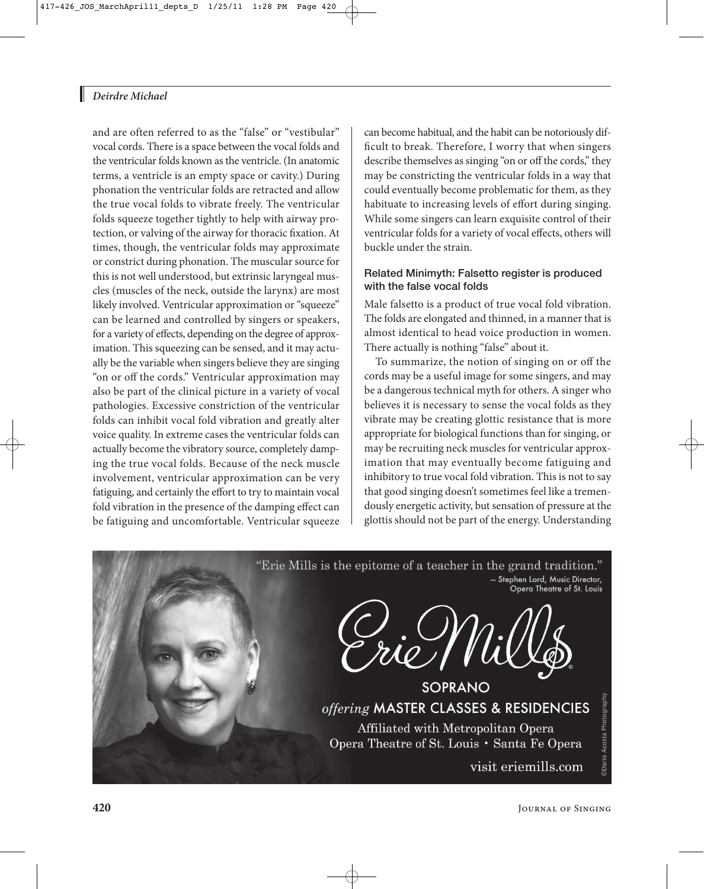# *Deirdre Michael*

and are often referred to as the "false" or "vestibular" vocal cords. There is a space between the vocal folds and the ventricular folds known as the ventricle. (In anatomic terms, a ventricle is an empty space or cavity.) During phonation the ventricular folds are retracted and allow the true vocal folds to vibrate freely. The ventricular folds squeeze together tightly to help with airway protection, or valving of the airway for thoracic fixation. At times, though, the ventricular folds may approximate or constrict during phonation. The muscular source for this is not well understood, but extrinsic laryngeal muscles (muscles of the neck, outside the larynx) are most likely involved. Ventricular approximation or "squeeze" can be learned and controlled by singers or speakers, for a variety of effects, depending on the degree of approximation. This squeezing can be sensed, and it may actually be the variable when singers believe they are singing "on or off the cords." Ventricular approximation may also be part of the clinical picture in a variety of vocal pathologies. Excessive constriction of the ventricular folds can inhibit vocal fold vibration and greatly alter voice quality. In extreme cases the ventricular folds can actually become the vibratory source, completely damping the true vocal folds. Because of the neck muscle involvement, ventricular approximation can be very fatiguing, and certainly the effort to try to maintain vocal fold vibration in the presence of the damping effect can be fatiguing and uncomfortable. Ventricular squeeze

can become habitual, and the habit can be notoriously difficult to break. Therefore, I worry that when singers describe themselves as singing "on or off the cords," they may be constricting the ventricular folds in a way that could eventually become problematic for them, as they habituate to increasing levels of effort during singing. While some singers can learn exquisite control of their ventricular folds for a variety of vocal effects, others will buckle under the strain.

#### **Related Minimyth: Falsetto register is produced with the false vocal folds**

Male falsetto is a product of true vocal fold vibration. The folds are elongated and thinned, in a manner that is almost identical to head voice production in women. There actually is nothing "false" about it.

To summarize, the notion of singing on or off the cords may be a useful image for some singers, and may be a dangerous technical myth for others. A singer who believes it is necessary to sense the vocal folds as they vibrate may be creating glottic resistance that is more appropriate for biological functions than for singing, or may be recruiting neck muscles for ventricular approximation that may eventually become fatiguing and inhibitory to true vocal fold vibration. This is not to say that good singing doesn't sometimes feel like a tremendously energetic activity, but sensation of pressure at the glottis should not be part of the energy. Understanding